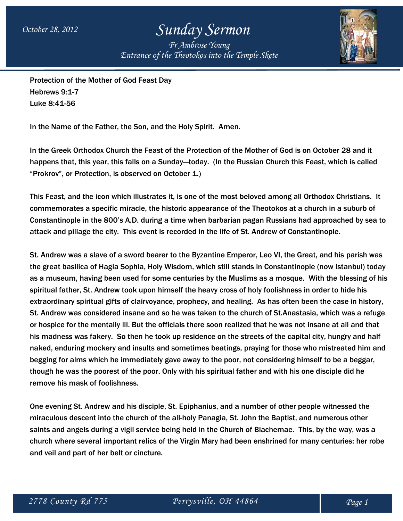## *October 28, 2012 Sunday Sermon*

*Fr Ambrose Young Entrance of the Theotokos into the Temple Skete*



Protection of the Mother of God Feast Day Hebrews 9:1-7 Luke 8:41-56

In the Name of the Father, the Son, and the Holy Spirit. Amen.

In the Greek Orthodox Church the Feast of the Protection of the Mother of God is on October 28 and it happens that, this year, this falls on a Sunday—today. (In the Russian Church this Feast, which is called "Prokrov", or Protection, is observed on October 1.)

This Feast, and the icon which illustrates it, is one of the most beloved among all Orthodox Christians. It commemorates a specific miracle, the historic appearance of the Theotokos at a church in a suburb of Constantinople in the 800's A.D. during a time when barbarian pagan Russians had approached by sea to attack and pillage the city. This event is recorded in the life of St. Andrew of Constantinople.

St. Andrew was a slave of a sword bearer to the Byzantine Emperor, Leo VI, the Great, and his parish was the great basilica of Hagia Sophia, Holy Wisdom, which still stands in Constantinople (now Istanbul) today as a museum, having been used for some centuries by the Muslims as a mosque. With the blessing of his spiritual father, St. Andrew took upon himself the heavy cross of holy foolishness in order to hide his extraordinary spiritual gifts of clairvoyance, prophecy, and healing. As has often been the case in history, St. Andrew was considered insane and so he was taken to the church of St.Anastasia, which was a refuge or hospice for the mentally ill. But the officials there soon realized that he was not insane at all and that his madness was fakery. So then he took up residence on the streets of the capital city, hungry and half naked, enduring mockery and insults and sometimes beatings, praying for those who mistreated him and begging for alms which he immediately gave away to the poor, not considering himself to be a beggar, though he was the poorest of the poor. Only with his spiritual father and with his one disciple did he remove his mask of foolishness.

One evening St. Andrew and his disciple, St. Epiphanius, and a number of other people witnessed the miraculous descent into the church of the all-holy Panagia, St. John the Baptist, and numerous other saints and angels during a vigil service being held in the Church of Blachernae. This, by the way, was a church where several important relics of the Virgin Mary had been enshrined for many centuries: her robe and veil and part of her belt or cincture.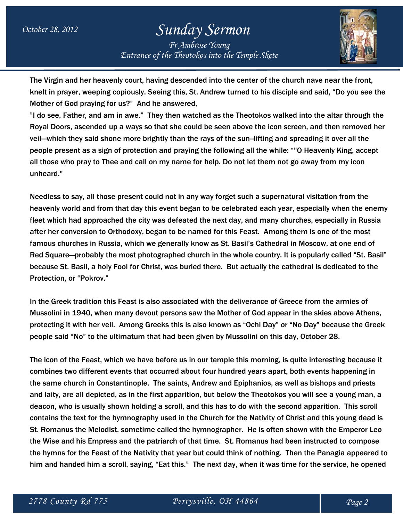## *October 28, 2012 Sunday Sermon*

*Fr Ambrose Young Entrance of the Theotokos into the Temple Skete*



The Virgin and her heavenly court, having descended into the center of the church nave near the front, knelt in prayer, weeping copiously. Seeing this, St. Andrew turned to his disciple and said, "Do you see the Mother of God praying for us?" And he answered,

"I do see, Father, and am in awe." They then watched as the Theotokos walked into the altar through the Royal Doors, ascended up a ways so that she could be seen above the icon screen, and then removed her veil—which they said shone more brightly than the rays of the sun--lifting and spreading it over all the people present as a sign of protection and praying the following all the while: ""O Heavenly King, accept all those who pray to Thee and call on my name for help. Do not let them not go away from my icon unheard."

Needless to say, all those present could not in any way forget such a supernatural visitation from the heavenly world and from that day this event began to be celebrated each year, especially when the enemy fleet which had approached the city was defeated the next day, and many churches, especially in Russia after her conversion to Orthodoxy, began to be named for this Feast. Among them is one of the most famous churches in Russia, which we generally know as St. Basil's Cathedral in Moscow, at one end of Red Square—probably the most photographed church in the whole country. It is popularly called "St. Basil" because St. Basil, a holy Fool for Christ, was buried there. But actually the cathedral is dedicated to the Protection, or "Pokrov."

In the Greek tradition this Feast is also associated with the deliverance of Greece from the armies of Mussolini in 1940, when many devout persons saw the Mother of God appear in the skies above Athens, protecting it with her veil. Among Greeks this is also known as "Ochi Day" or "No Day" because the Greek people said "No" to the ultimatum that had been given by Mussolini on this day, October 28.

The icon of the Feast, which we have before us in our temple this morning, is quite interesting because it combines two different events that occurred about four hundred years apart, both events happening in the same church in Constantinople. The saints, Andrew and Epiphanios, as well as bishops and priests and laity, are all depicted, as in the first apparition, but below the Theotokos you will see a young man, a deacon, who is usually shown holding a scroll, and this has to do with the second apparition. This scroll contains the text for the hymnography used in the Church for the Nativity of Christ and this young dead is St. Romanus the Melodist, sometime called the hymnographer. He is often shown with the Emperor Leo the Wise and his Empress and the patriarch of that time. St. Romanus had been instructed to compose the hymns for the Feast of the Nativity that year but could think of nothing. Then the Panagia appeared to him and handed him a scroll, saying, "Eat this." The next day, when it was time for the service, he opened